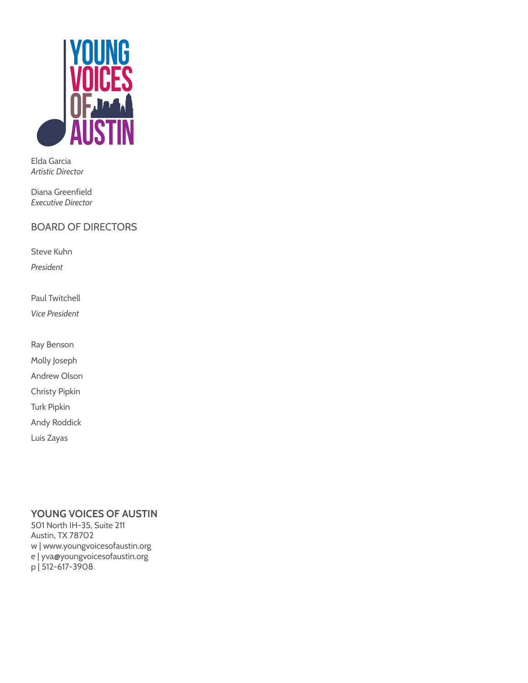

Elda Garcia *Artistic Director*

Diana Greenfield *Executive Director*

## BOARD OF DIRECTORS

Steve Kuhn

*President*

Paul Twitchell

*Vice President*

Ray Benson Molly Joseph Andrew Olson Christy Pipkin Turk Pipkin Andy Roddick Luis Zayas

## **YOUNG VOICES OF AUSTIN**

501 North IH-35, Suite 211 Austin, TX 78702 w | www.youngvoicesofaustin.org e | yva@youngvoicesofaustin.org p | 512-617-3908